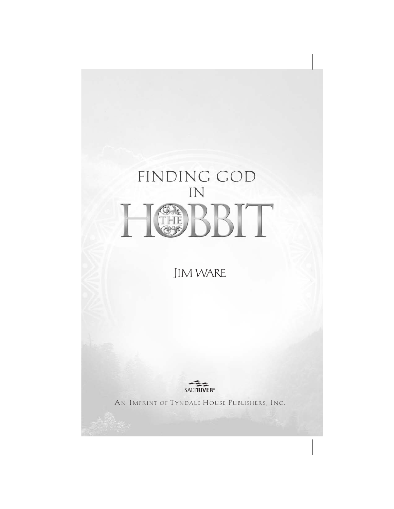

## JIM WARE



AN IMPRINT OF TYNDALE HOUSE PUBLISHERS, INC.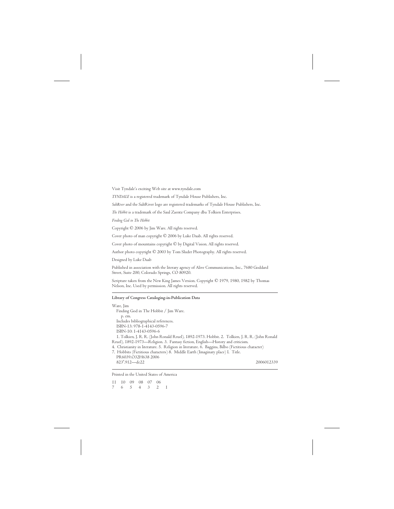Visit Tyndale's exciting Web site at www.tyndale.com

*TYNDALE* is a registered trademark of Tyndale House Publishers, Inc.

*SaltRiver* and the SaltRiver logo are registered trademarks of Tyndale House Publishers, Inc.

*The Hobbit* is a trademark of the Saul Zaentz Company dba Tolkien Enterprises.

*Finding God in The Hobbit*

Copyright © 2006 by Jim Ware. All rights reserved.

Cover photo of man copyright © 2006 by Luke Daab. All rights reserved.

Cover photo of mountains copyright © by Digital Vision. All rights reserved.

Author photo copyright © 2003 by Tom Sluder Photography. All rights reserved.

Designed by Luke Daab

Published in association with the literary agency of Alive Communications, Inc., 7680 Goddard Street, Suite 200, Colorado Springs, CO 80920.

Scripture taken from the New King James Version. Copyright © 1979, 1980, 1982 by Thomas Nelson, Inc. Used by permission. All rights reserved.

#### **Library of Congress Cataloging-in-Publication Data**

| Ware, Jim                                                                                          |            |
|----------------------------------------------------------------------------------------------------|------------|
| Finding God in The Hobbit / Jim Ware.                                                              |            |
| p. cm.                                                                                             |            |
| Includes bibliographical references.                                                               |            |
| ISBN-13: 978-1-4143-0596-7                                                                         |            |
| ISBN-10: 1-4143-0596-6                                                                             |            |
| I. Tolkien, J. R. R. (John Ronald Reuel), 1892-1973. Hobbit. 2. Tolkien, J. R. R. (John Ronald     |            |
| Reuel), 1892-1973—Religion. 3. Fantasy fiction, English—History and criticism.                     |            |
| 4. Christianity in literature. 5. Religion in literature. 6. Baggins, Bilbo (Fictitious character) |            |
| 7. Hobbits (Fictitious characters) 8. Middle Earth (Imaginary place) I. Title.                     |            |
| PR6039.O32H638 2006                                                                                |            |
| 823'.912-dc22                                                                                      | 2006012339 |

Printed in the United States of America

11 10 09 08 07 06 7654321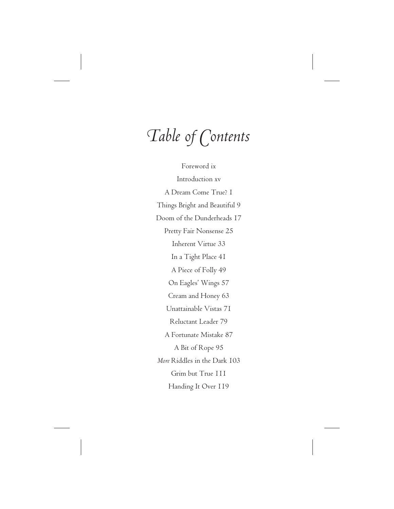# *Table of Contents*

Foreword ix Introduction xv A Dream Come True? 1 Things Bright and Beautiful 9 Doom of the Dunderheads 17 Pretty Fair Nonsense 25 Inherent Virtue 33 In a Tight Place 41 A Piece of Folly 49 On Eagles' Wings 57 Cream and Honey 63 Unattainable Vistas 71 Reluctant Leader 79 A Fortunate Mistake 87 A Bit of Rope 95 *More* Riddles in the Dark 103 Grim but True 111 Handing It Over 119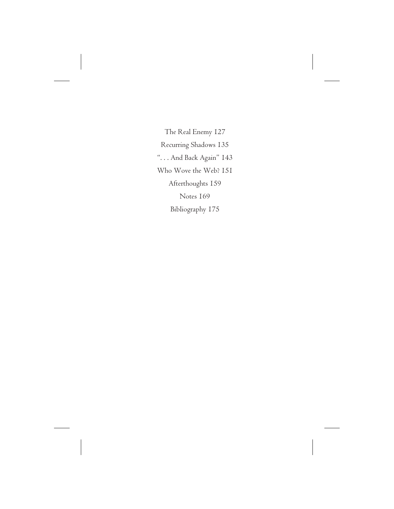The Real Enemy 127 Recurring Shadows 135 ". . . And Back Again" 143 Who Wove the Web? 151 Afterthoughts 159 Notes 169 Bibliography 175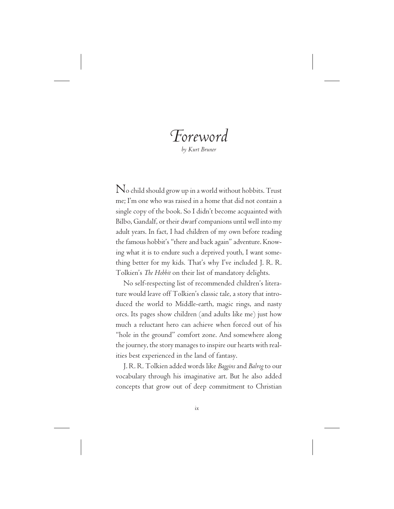*Foreword*

*by Kurt Bruner*

 $N$ o child should grow up in a world without hobbits. Trust me; I'm one who was raised in a home that did not contain a single copy of the book. So I didn't become acquainted with Bilbo, Gandalf, or their dwarf companions until well into my adult years. In fact, I had children of my own before reading the famous hobbit's "there and back again" adventure. Knowing what it is to endure such a deprived youth, I want something better for my kids. That's why I've included J. R. R. Tolkien's *The Hobbit* on their list of mandatory delights.

No self-respecting list of recommended children's literature would leave off Tolkien's classic tale, a story that introduced the world to Middle-earth, magic rings, and nasty orcs. Its pages show children (and adults like me) just how much a reluctant hero can achieve when forced out of his "hole in the ground" comfort zone. And somewhere along the journey, the story manages to inspire our hearts with realities best experienced in the land of fantasy.

J. R. R. Tolkien added words like *Baggins* and *Balrog* to our vocabulary through his imaginative art. But he also added concepts that grow out of deep commitment to Christian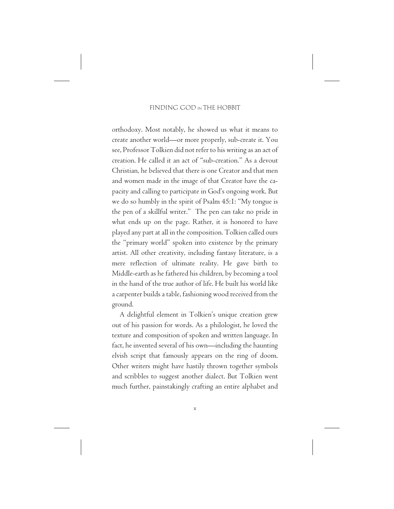orthodoxy. Most notably, he showed us what it means to create another world—or more properly, sub-create it. You see, Professor Tolkien did not refer to his writing as an act of creation. He called it an act of "sub-creation." As a devout Christian, he believed that there is one Creator and that men and women made in the image of that Creator have the capacity and calling to participate in God's ongoing work. But we do so humbly in the spirit of Psalm 45:1: "My tongue is the pen of a skillful writer." The pen can take no pride in what ends up on the page. Rather, it is honored to have played any part at all in the composition. Tolkien called ours the "primary world" spoken into existence by the primary artist. All other creativity, including fantasy literature, is a mere reflection of ultimate reality. He gave birth to Middle-earth as he fathered his children, by becoming a tool in the hand of the true author of life. He built his world like a carpenter builds a table, fashioning wood received from the ground.

A delightful element in Tolkien's unique creation grew out of his passion for words. As a philologist, he loved the texture and composition of spoken and written language. In fact, he invented several of his own—including the haunting elvish script that famously appears on the ring of doom. Other writers might have hastily thrown together symbols and scribbles to suggest another dialect. But Tolkien went much further, painstakingly crafting an entire alphabet and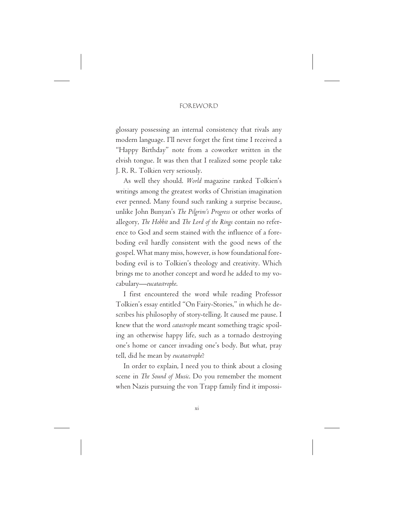#### FOREWORD

glossary possessing an internal consistency that rivals any modern language. I'll never forget the first time I received a "Happy Birthday" note from a coworker written in the elvish tongue. It was then that I realized some people take J. R. R. Tolkien very seriously.

As well they should. *World* magazine ranked Tolkien's writings among the greatest works of Christian imagination ever penned. Many found such ranking a surprise because, unlike John Bunyan's *The Pilgrim's Progress* or other works of allegory, *The Hobbit* and *The Lord of the Rings* contain no reference to God and seem stained with the influence of a foreboding evil hardly consistent with the good news of the gospel. What many miss, however, is how foundational foreboding evil is to Tolkien's theology and creativity. Which brings me to another concept and word he added to my vocabulary—*eucatastrophe*.

I first encountered the word while reading Professor Tolkien's essay entitled "On Fairy-Stories," in which he describes his philosophy of story-telling. It caused me pause. I knew that the word *catastrophe* meant something tragic spoiling an otherwise happy life, such as a tornado destroying one's home or cancer invading one's body. But what, pray tell, did he mean by *eucatastrophe*?

In order to explain, I need you to think about a closing scene in *The Sound of Music*. Do you remember the moment when Nazis pursuing the von Trapp family find it impossi-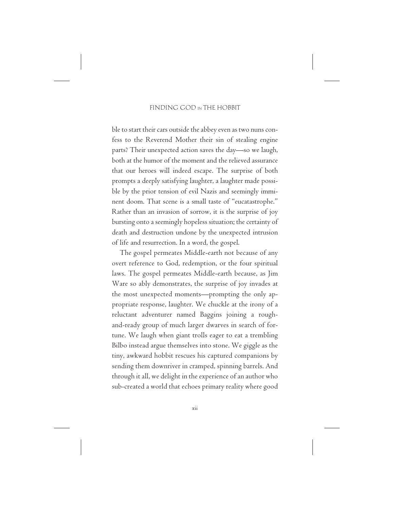ble to start their cars outside the abbey even as two nuns confess to the Reverend Mother their sin of stealing engine parts? Their unexpected action saves the day—so we laugh, both at the humor of the moment and the relieved assurance that our heroes will indeed escape. The surprise of both prompts a deeply satisfying laughter, a laughter made possible by the prior tension of evil Nazis and seemingly imminent doom. That scene is a small taste of "eucatastrophe." Rather than an invasion of sorrow, it is the surprise of joy bursting onto a seemingly hopeless situation; the certainty of death and destruction undone by the unexpected intrusion of life and resurrection. In a word, the gospel.

The gospel permeates Middle-earth not because of any overt reference to God, redemption, or the four spiritual laws. The gospel permeates Middle-earth because, as Jim Ware so ably demonstrates, the surprise of joy invades at the most unexpected moments—prompting the only appropriate response, laughter. We chuckle at the irony of a reluctant adventurer named Baggins joining a roughand-ready group of much larger dwarves in search of fortune. We laugh when giant trolls eager to eat a trembling Bilbo instead argue themselves into stone. We giggle as the tiny, awkward hobbit rescues his captured companions by sending them downriver in cramped, spinning barrels. And through it all, we delight in the experience of an author who sub-created a world that echoes primary reality where good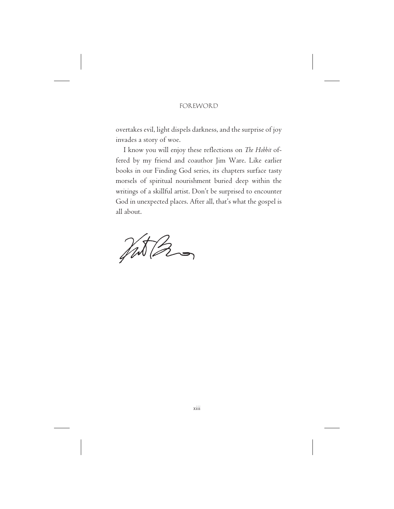#### FOREWORD

overtakes evil, light dispels darkness, and the surprise of joy invades a story of woe.

I know you will enjoy these reflections on *The Hobbit* offered by my friend and coauthor Jim Ware. Like earlier books in our Finding God series, its chapters surface tasty morsels of spiritual nourishment buried deep within the writings of a skillful artist. Don't be surprised to encounter God in unexpected places. After all, that's what the gospel is all about.

Wit Boy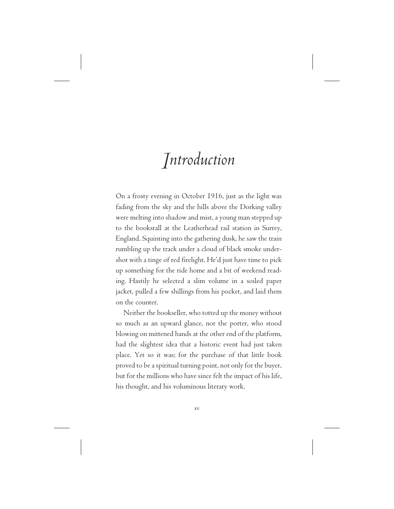## *Introduction*

On a frosty evening in October 1916, just as the light was fading from the sky and the hills above the Dorking valley were melting into shadow and mist, a young man stepped up to the bookstall at the Leatherhead rail station in Surrey, England. Squinting into the gathering dusk, he saw the train rumbling up the track under a cloud of black smoke undershot with a tinge of red firelight. He'd just have time to pick up something for the ride home and a bit of weekend reading. Hastily he selected a slim volume in a soiled paper jacket, pulled a few shillings from his pocket, and laid them on the counter.

Neither the bookseller, who totted up the money without so much as an upward glance, nor the porter, who stood blowing on mittened hands at the other end of the platform, had the slightest idea that a historic event had just taken place. Yet so it was; for the purchase of that little book proved to be a spiritual turning point, not only for the buyer, but for the millions who have since felt the impact of his life, his thought, and his voluminous literary work.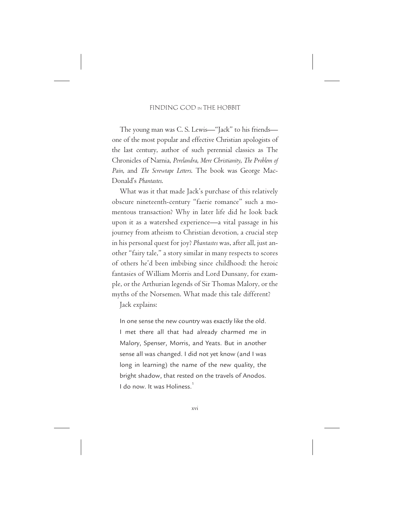#### FINDING GOD in THE HOBBIT

The young man was C. S. Lewis—"Jack" to his friends one of the most popular and effective Christian apologists of the last century, author of such perennial classics as The Chronicles of Narnia, *Perelandra*, *Mere Christianity*, *The Problem of Pain*, and *The Screwtape Letters*. The book was George Mac-Donald's *Phantastes*.

What was it that made Jack's purchase of this relatively obscure nineteenth-century "faerie romance" such a momentous transaction? Why in later life did he look back upon it as a watershed experience—a vital passage in his journey from atheism to Christian devotion, a crucial step in his personal quest for joy? *Phantastes* was, after all, just another "fairy tale," a story similar in many respects to scores of others he'd been imbibing since childhood: the heroic fantasies of William Morris and Lord Dunsany, for example, or the Arthurian legends of Sir Thomas Malory, or the myths of the Norsemen. What made this tale different?

Jack explains:

In one sense the new country was exactly like the old. I met there all that had already charmed me in Malory, Spenser, Morris, and Yeats. But in another sense all was changed. I did not yet know (and I was long in learning) the name of the new quality, the bright shadow, that rested on the travels of Anodos. I do now. It was Holiness.<sup>1</sup>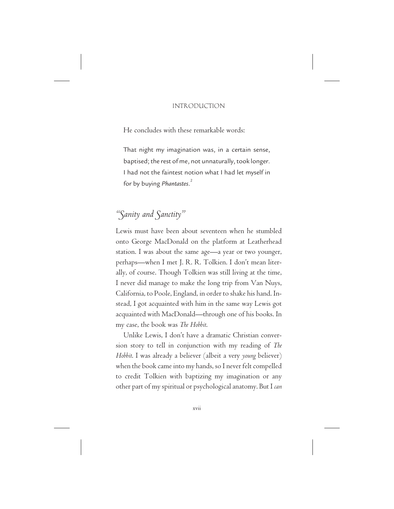#### INTRODUCTION

He concludes with these remarkable words:

That night my imagination was, in a certain sense, baptised; the rest of me, not unnaturally, took longer. I had not the faintest notion what I had let myself in for by buying *Phantastes*. 2

## *"Sanity and Sanctity"*

Lewis must have been about seventeen when he stumbled onto George MacDonald on the platform at Leatherhead station. I was about the same age—a year or two younger, perhaps—when I met J. R. R. Tolkien. I don't mean literally, of course. Though Tolkien was still living at the time, I never did manage to make the long trip from Van Nuys, California, to Poole, England, in order to shake his hand. Instead, I got acquainted with him in the same way Lewis got acquainted with MacDonald—through one of his books. In my case, the book was *The Hobbit*.

Unlike Lewis, I don't have a dramatic Christian conversion story to tell in conjunction with my reading of *The Hobbit*. I was already a believer (albeit a very *young* believer) when the book came into my hands, so I never felt compelled to credit Tolkien with baptizing my imagination or any other part of my spiritual or psychological anatomy. But I *can*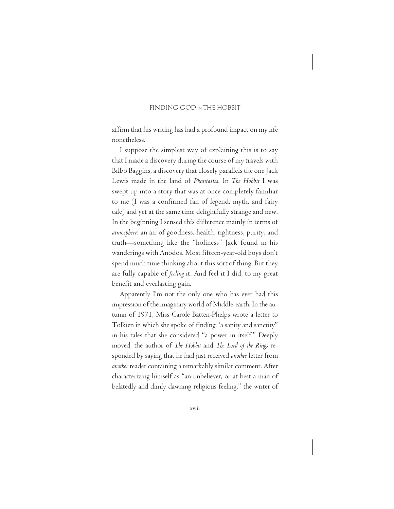affirm that his writing has had a profound impact on my life nonetheless.

I suppose the simplest way of explaining this is to say that I made a discovery during the course of my travels with Bilbo Baggins, a discovery that closely parallels the one Jack Lewis made in the land of *Phantastes*. In *The Hobbit* I was swept up into a story that was at once completely familiar to me (I was a confirmed fan of legend, myth, and fairy tale) and yet at the same time delightfully strange and new. In the beginning I sensed this difference mainly in terms of *atmosphere*: an air of goodness, health, rightness, purity, and truth—something like the "holiness" Jack found in his wanderings with Anodos. Most fifteen-year-old boys don't spend much time thinking about this sort of thing. But they are fully capable of *feeling* it. And feel it I did, to my great benefit and everlasting gain.

Apparently I'm not the only one who has ever had this impression of the imaginary world of Middle-earth. In the autumn of 1971, Miss Carole Batten-Phelps wrote a letter to Tolkien in which she spoke of finding "a sanity and sanctity" in his tales that she considered "a power in itself." Deeply moved, the author of *The Hobbit* and *The Lord of the Rings* responded by saying that he had just received *another* letter from *another* reader containing a remarkably similar comment. After characterizing himself as "an unbeliever, or at best a man of belatedly and dimly dawning religious feeling," the writer of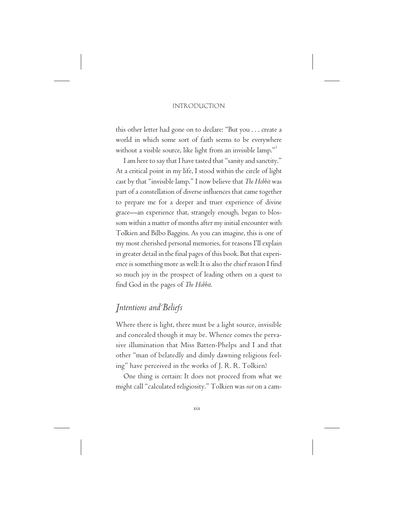#### INTRODUCTION

this other letter had gone on to declare: "But you . . . create a world in which some sort of faith seems to be everywhere without a visible source, like light from an invisible lamp."<sup>3</sup>

I am here to say that I have tasted that "sanity and sanctity." At a critical point in my life, I stood within the circle of light cast by that "invisible lamp." I now believe that *The Hobbit* was part of a constellation of diverse influences that came together to prepare me for a deeper and truer experience of divine grace—an experience that, strangely enough, began to blossom within a matter of months after my initial encounter with Tolkien and Bilbo Baggins. As you can imagine, this is one of my most cherished personal memories, for reasons I'll explain in greater detail in the final pages of this book. But that experience is something more as well: It is also the chief reason I find so much joy in the prospect of leading others on a quest to find God in the pages of *The Hobbit*.

### *Intentions and Beliefs*

Where there is light, there must be a light source, invisible and concealed though it may be. Whence comes the pervasive illumination that Miss Batten-Phelps and I and that other "man of belatedly and dimly dawning religious feeling" have perceived in the works of J. R. R. Tolkien?

One thing is certain: It does not proceed from what we might call "calculated religiosity." Tolkien was*not* on a cam-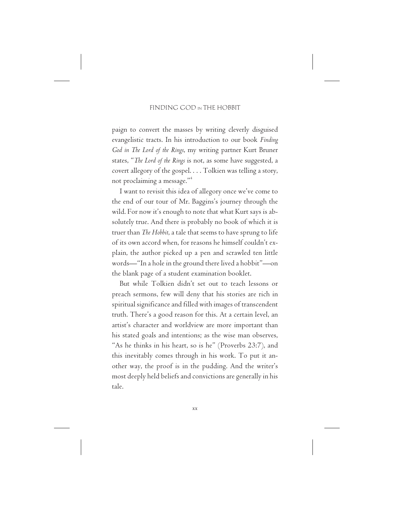#### FINDING GOD in THE HOBBIT

paign to convert the masses by writing cleverly disguised evangelistic tracts. In his introduction to our book *Finding God in The Lord of the Rings*, my writing partner Kurt Bruner states, "*The Lord of the Rings* is not, as some have suggested, a covert allegory of the gospel. . . . Tolkien was telling a story, not proclaiming a message."<sup>4</sup>

I want to revisit this idea of allegory once we've come to the end of our tour of Mr. Baggins's journey through the wild. For now it's enough to note that what Kurt says is absolutely true. And there is probably no book of which it is truer than *The Hobbit*, a tale that seems to have sprung to life of its own accord when, for reasons he himself couldn't explain, the author picked up a pen and scrawled ten little words—"In a hole in the ground there lived a hobbit"—on the blank page of a student examination booklet.

But while Tolkien didn't set out to teach lessons or preach sermons, few will deny that his stories are rich in spiritual significance and filled with images of transcendent truth. There's a good reason for this. At a certain level, an artist's character and worldview are more important than his stated goals and intentions; as the wise man observes, "As he thinks in his heart, so is he" (Proverbs 23:7), and this inevitably comes through in his work. To put it another way, the proof is in the pudding. And the writer's most deeply held beliefs and convictions are generally in his tale.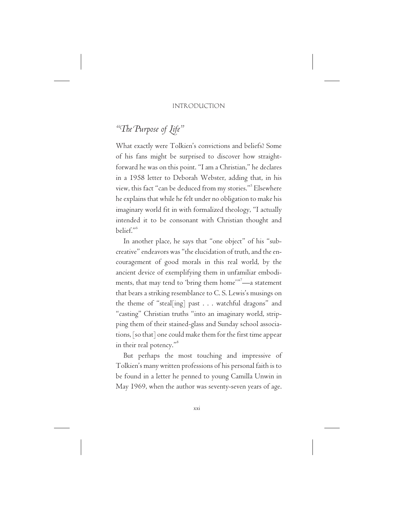#### INTRODUCTION

## *"The Purpose of Life"*

What exactly were Tolkien's convictions and beliefs? Some of his fans might be surprised to discover how straightforward he was on this point. "I am a Christian," he declares in a 1958 letter to Deborah Webster, adding that, in his view, this fact "can be deduced from my stories."<sup>5</sup> Elsewhere he explains that while he felt under no obligation to make his imaginary world fit in with formalized theology, "I actually intended it to be consonant with Christian thought and belief."<sup>6</sup>

In another place, he says that "one object" of his "subcreative" endeavors was "the elucidation of truth, and the encouragement of good morals in this real world, by the ancient device of exemplifying them in unfamiliar embodiments, that may tend to 'bring them home'"<sup>7</sup> —a statement that bears a striking resemblance to C. S. Lewis's musings on the theme of "steal[ing] past... watchful dragons" and "casting" Christian truths "into an imaginary world, stripping them of their stained-glass and Sunday school associations, [so that] one could make them for the first time appear in their real potency."<sup>8</sup>

But perhaps the most touching and impressive of Tolkien's many written professions of his personal faith is to be found in a letter he penned to young Camilla Unwin in May 1969, when the author was seventy-seven years of age.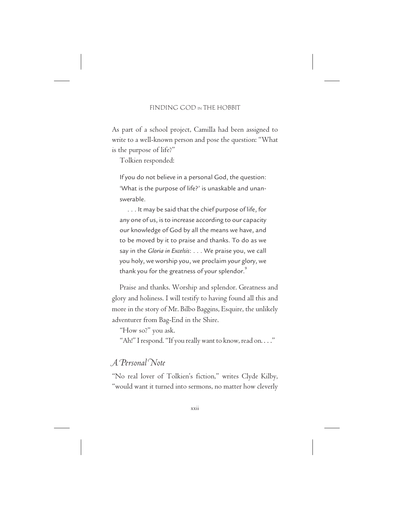As part of a school project, Camilla had been assigned to write to a well-known person and pose the question: "What is the purpose of life?"

Tolkien responded:

If you do not believe in a personal God, the question: 'What is the purpose of life?' is unaskable and unanswerable.

. . . It may be said that the chief purpose of life, for any one of us, is to increase according to our capacity our knowledge of God by all the means we have, and to be moved by it to praise and thanks. To do as we say in the *Gloria in Excelsis*: . . . We praise you, we call you holy, we worship you, we proclaim your glory, we thank you for the greatness of your splendor.<sup>9</sup>

Praise and thanks. Worship and splendor. Greatness and glory and holiness. I will testify to having found all this and more in the story of Mr. Bilbo Baggins, Esquire, the unlikely adventurer from Bag-End in the Shire.

"How so?" you ask.

"Ah!" I respond. "If you really want to know, read on. . . ."

### *A Personal Note*

"No real lover of Tolkien's fiction," writes Clyde Kilby, "would want it turned into sermons, no matter how cleverly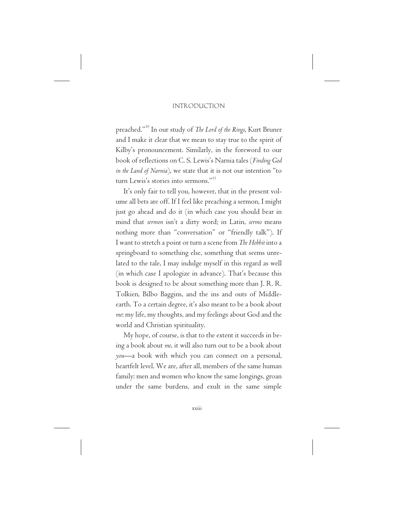#### INTRODUCTION

preached."<sup>10</sup> In our study of *The Lord of the Rings*, Kurt Bruner and I make it clear that we mean to stay true to the spirit of Kilby's pronouncement. Similarly, in the foreword to our book of reflections on C. S. Lewis's Narnia tales (*Finding God in the Land of Narnia*), we state that it is not our intention "to turn Lewis's stories into sermons."<sup>11</sup>

It's only fair to tell you, however, that in the present volume all bets are off. If I feel like preaching a sermon, I might just go ahead and do it (in which case you should bear in mind that *sermon* isn't a dirty word; in Latin, *sermo* means nothing more than "conversation" or "friendly talk"). If I want to stretch a point or turn a scene from *The Hobbit* into a springboard to something else, something that seems unrelated to the tale, I may indulge myself in this regard as well (in which case I apologize in advance). That's because this book is designed to be about something more than J. R. R. Tolkien, Bilbo Baggins, and the ins and outs of Middleearth. To a certain degree, it's also meant to be a book about *me*: my life, my thoughts, and my feelings about God and the world and Christian spirituality.

My hope, of course, is that to the extent it succeeds in being a book about *me*, it will also turn out to be a book about *you*—a book with which you can connect on a personal, heartfelt level. We are, after all, members of the same human family: men and women who know the same longings, groan under the same burdens, and exult in the same simple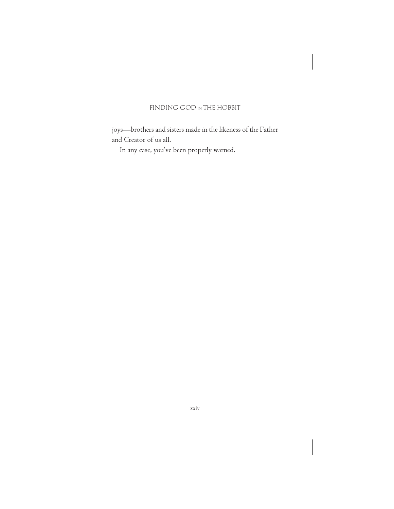joys—brothers and sisters made in the likeness of the Father and Creator of us all.

In any case, you've been properly warned.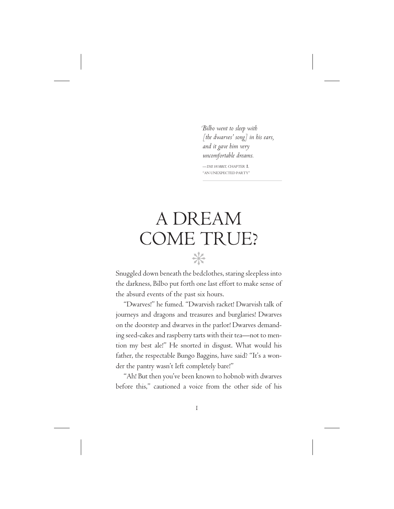*Bilbo went to sleep with [the dwarves' song] in his ears, and it gave him very uncomfortable dreams.*

—*THE HOBBIT*, CHAPTER 1, "AN UNEXPECTED PARTY"

# A DREAM COME TRUE?

米

Snuggled down beneath the bedclothes, staring sleepless into the darkness, Bilbo put forth one last effort to make sense of the absurd events of the past six hours.

"Dwarves!" he fumed. "Dwarvish racket! Dwarvish talk of journeys and dragons and treasures and burglaries! Dwarves on the doorstep and dwarves in the parlor! Dwarves demanding seed-cakes and raspberry tarts with their tea—not to mention my best ale!" He snorted in disgust. What would his father, the respectable Bungo Baggins, have said? "It's a wonder the pantry wasn't left completely bare!"

"Ah! But then you've been known to hobnob with dwarves before this," cautioned a voice from the other side of his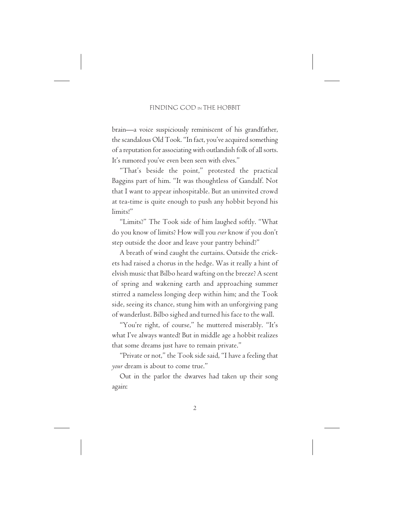brain—a voice suspiciously reminiscent of his grandfather, the scandalous Old Took. "In fact, you've acquired something of a reputation for associating with outlandish folk of all sorts. It's rumored you've even been seen with elves."

"That's beside the point," protested the practical Baggins part of him. "It was thoughtless of Gandalf. Not that I want to appear inhospitable. But an uninvited crowd at tea-time is quite enough to push any hobbit beyond his limits!"

"Limits?" The Took side of him laughed softly. "What do you know of limits? How will you *ever* know if you don't step outside the door and leave your pantry behind?"

A breath of wind caught the curtains. Outside the crickets had raised a chorus in the hedge. Was it really a hint of elvish music that Bilbo heard wafting on the breeze? A scent of spring and wakening earth and approaching summer stirred a nameless longing deep within him; and the Took side, seeing its chance, stung him with an unforgiving pang of wanderlust. Bilbo sighed and turned his face to the wall.

"You're right, of course," he muttered miserably. "It's what I've always wanted! But in middle age a hobbit realizes that some dreams just have to remain private."

"Private or not," the Took side said, "I have a feeling that *your* dream is about to come true."

Out in the parlor the dwarves had taken up their song again: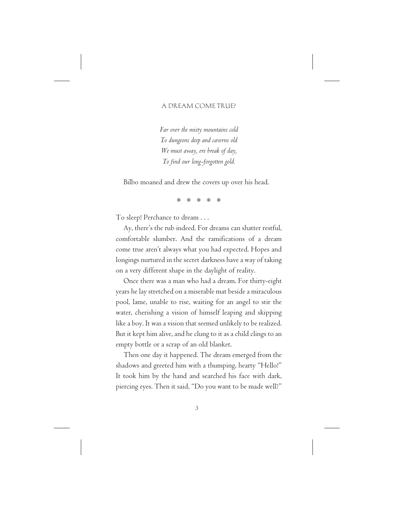#### A DREAM COME TRUE?

*Far over the misty mountains cold To dungeons deep and caverns old We must away, ere break of day, To find our long-forgotten gold.*

Bilbo moaned and drew the covers up over his head.

\* \* \* \* \*

To sleep! Perchance to dream...

Ay, there's the rub indeed. For dreams can shatter restful, comfortable slumber. And the ramifications of a dream come true aren't always what you had expected. Hopes and longings nurtured in the secret darkness have a way of taking on a very different shape in the daylight of reality.

Once there was a man who had a dream. For thirty-eight years he lay stretched on a miserable mat beside a miraculous pool, lame, unable to rise, waiting for an angel to stir the water, cherishing a vision of himself leaping and skipping like a boy. It was a vision that seemed unlikely to be realized. But it kept him alive, and he clung to it as a child clings to an empty bottle or a scrap of an old blanket.

Then one day it happened. The dream emerged from the shadows and greeted him with a thumping, hearty "Hello!" It took him by the hand and searched his face with dark, piercing eyes. Then it said, "Do you want to be made well?"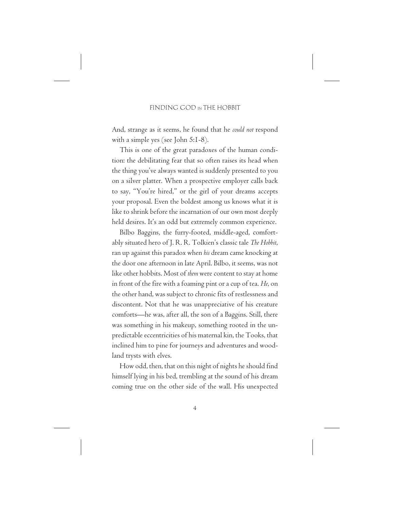And, strange as it seems, he found that he *could not* respond with a simple yes (see John 5:1-8).

This is one of the great paradoxes of the human condition: the debilitating fear that so often raises its head when the thing you've always wanted is suddenly presented to you on a silver platter. When a prospective employer calls back to say, "You're hired," or the girl of your dreams accepts your proposal. Even the boldest among us knows what it is like to shrink before the incarnation of our own most deeply held desires. It's an odd but extremely common experience.

Bilbo Baggins, the furry-footed, middle-aged, comfortably situated hero of J. R. R. Tolkien's classic tale *The Hobbit*, ran up against this paradox when *his* dream came knocking at the door one afternoon in late April. Bilbo, it seems, was not like other hobbits. Most of *them* were content to stay at home in front of the fire with a foaming pint or a cup of tea. *He*, on the other hand, was subject to chronic fits of restlessness and discontent. Not that he was unappreciative of his creature comforts—he was, after all, the son of a Baggins. Still, there was something in his makeup, something rooted in the unpredictable eccentricities of his maternal kin, the Tooks, that inclined him to pine for journeys and adventures and woodland trysts with elves.

How odd, then, that on this night of nights he should find himself lying in his bed, trembling at the sound of his dream coming true on the other side of the wall. His unexpected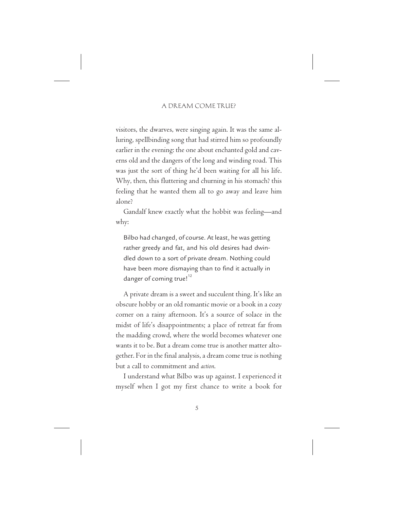#### A DREAM COME TRUE?

visitors, the dwarves, were singing again. It was the same alluring, spellbinding song that had stirred him so profoundly earlier in the evening: the one about enchanted gold and caverns old and the dangers of the long and winding road. This was just the sort of thing he'd been waiting for all his life. Why, then, this fluttering and churning in his stomach? this feeling that he wanted them all to go away and leave him alone?

Gandalf knew exactly what the hobbit was feeling—and why:

Bilbo had changed, of course. At least, he was getting rather greedy and fat, and his old desires had dwindled down to a sort of private dream. Nothing could have been more dismaying than to find it actually in danger of coming true!<sup>12</sup>

A private dream is a sweet and succulent thing. It's like an obscure hobby or an old romantic movie or a book in a cozy corner on a rainy afternoon. It's a source of solace in the midst of life's disappointments; a place of retreat far from the madding crowd, where the world becomes whatever one wants it to be. But a dream come true is another matter altogether. For in the final analysis, a dream come true is nothing but a call to commitment and *action*.

I understand what Bilbo was up against. I experienced it myself when I got my first chance to write a book for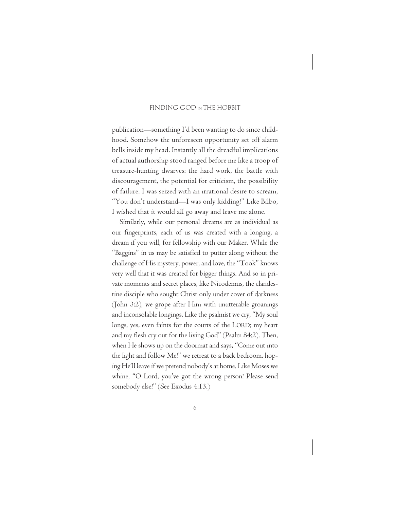publication—something I'd been wanting to do since childhood. Somehow the unforeseen opportunity set off alarm bells inside my head. Instantly all the dreadful implications of actual authorship stood ranged before me like a troop of treasure-hunting dwarves: the hard work, the battle with discouragement, the potential for criticism, the possibility of failure. I was seized with an irrational desire to scream, "You don't understand—I was only kidding!" Like Bilbo, I wished that it would all go away and leave me alone.

Similarly, while our personal dreams are as individual as our fingerprints, each of us was created with a longing, a dream if you will, for fellowship with our Maker. While the "Baggins" in us may be satisfied to putter along without the challenge of His mystery, power, and love, the "Took" knows very well that it was created for bigger things. And so in private moments and secret places, like Nicodemus, the clandestine disciple who sought Christ only under cover of darkness (John 3:2), we grope after Him with unutterable groanings and inconsolable longings. Like the psalmist we cry, "My soul longs, yes, even faints for the courts of the LORD; my heart and my flesh cry out for the living God" (Psalm 84:2). Then, when He shows up on the doormat and says, "Come out into the light and follow Me!" we retreat to a back bedroom, hoping He'll leave if we pretend nobody's at home. Like Moses we whine, "O Lord, you've got the wrong person! Please send somebody else!" (See Exodus 4:13.)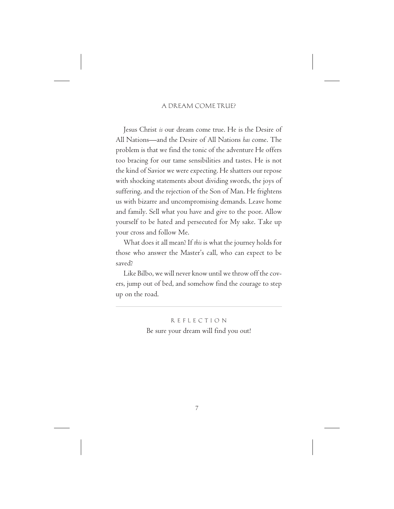#### A DREAM COME TRUE?

Jesus Christ *is* our dream come true. He is the Desire of All Nations—and the Desire of All Nations *has* come. The problem is that we find the tonic of the adventure He offers too bracing for our tame sensibilities and tastes. He is not the kind of Savior we were expecting. He shatters our repose with shocking statements about dividing swords, the joys of suffering, and the rejection of the Son of Man. He frightens us with bizarre and uncompromising demands. Leave home and family. Sell what you have and give to the poor. Allow yourself to be hated and persecuted for My sake. Take up your cross and follow Me.

What does it all mean? If *this* is what the journey holds for those who answer the Master's call, who can expect to be saved?

Like Bilbo, we will never know until we throw off the covers, jump out of bed, and somehow find the courage to step up on the road.

> REFLECTION Be sure your dream will find you out!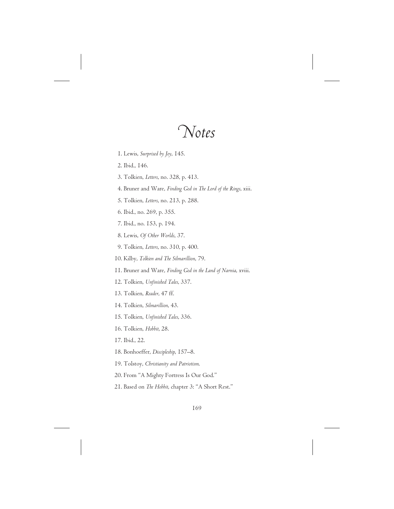## *Notes*

1. Lewis, *Surprised by Joy*, 145.

2. Ibid., 146.

- 3. Tolkien, *Letters*, no. 328, p. 413.
- 4. Bruner and Ware, *Finding God in The Lord of the Rings*, xiii.
- 5. Tolkien, *Letters*, no. 213, p. 288.
- 6. Ibid., no. 269, p. 355.
- 7. Ibid., no. 153, p. 194.
- 8. Lewis, *Of Other Worlds*, 37.
- 9. Tolkien, *Letters*, no. 310, p. 400.
- 10. Kilby, *Tolkien and The Silmarillion*, 79.
- 11. Bruner and Ware, *Finding God in the Land of Narnia*, xviii.
- 12. Tolkien, *Unfinished Tales*, 337.
- 13. Tolkien, *Reader*, 47 ff.
- 14. Tolkien, *Silmarillion*, 43.
- 15. Tolkien, *Unfinished Tales*, 336.
- 16. Tolkien, *Hobbit*, 28.
- 17. Ibid., 22.
- 18. Bonhoeffer, *Discipleship*, 157–8.
- 19. Tolstoy, *Christianity and Patriotism*.
- 20. From "A Mighty Fortress Is Our God."
- 21. Based on *The Hobbit*, chapter 3: "A Short Rest."